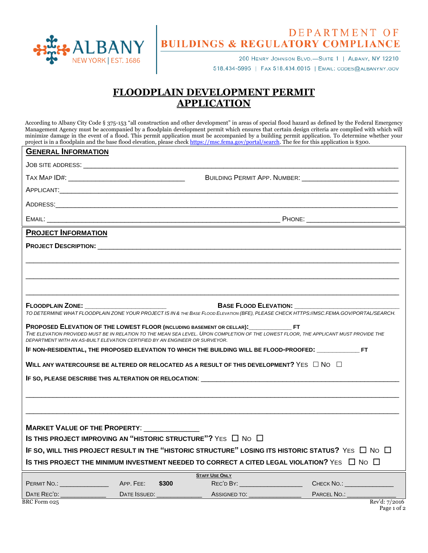

## DEPARTMENT OF<br>BUILDINGS & REGULATORY COMPLIANCE

200 HENRY JOHNSON BLVD.-SUITE 1 | ALBANY, NY 12210 518.434-5995 | FAX 518.434.6015 | EMAIL: CODES@ALBANYNY.GOV

## **FLOODPLAIN DEVELOPMENT PERMIT APPLICATION**

According to Albany City Code § 375-153 "all construction and other development" in areas of special flood hazard as defined by the Federal Emergency Management Agency must be accompanied by a floodplain development permit which ensures that certain design criteria are complied with which will minimize damage in the event of a flood. This permit application must be accompanied by a building permit application. To determine whether your project is in a floodplain and the base flood elevation, please check [https://msc.fema.gov/portal/search.](https://msc.fema.gov/portal/search) The fee for this application is \$300.

| <b>GENERAL INFORMATION</b>                                                                                              |                                                                             |                                                                                                           |                                                                                                                                         |  |
|-------------------------------------------------------------------------------------------------------------------------|-----------------------------------------------------------------------------|-----------------------------------------------------------------------------------------------------------|-----------------------------------------------------------------------------------------------------------------------------------------|--|
|                                                                                                                         |                                                                             |                                                                                                           |                                                                                                                                         |  |
| TAX MAP ID#: TAX MAP ID#:                                                                                               |                                                                             |                                                                                                           |                                                                                                                                         |  |
|                                                                                                                         |                                                                             |                                                                                                           |                                                                                                                                         |  |
|                                                                                                                         |                                                                             |                                                                                                           |                                                                                                                                         |  |
| EMAIL:                                                                                                                  |                                                                             |                                                                                                           |                                                                                                                                         |  |
| <b>PROJECT INFORMATION</b>                                                                                              |                                                                             |                                                                                                           |                                                                                                                                         |  |
|                                                                                                                         |                                                                             |                                                                                                           |                                                                                                                                         |  |
|                                                                                                                         |                                                                             |                                                                                                           |                                                                                                                                         |  |
|                                                                                                                         |                                                                             |                                                                                                           |                                                                                                                                         |  |
|                                                                                                                         |                                                                             |                                                                                                           |                                                                                                                                         |  |
|                                                                                                                         |                                                                             | <b>BASE FLOOD ELEVATION:</b>                                                                              |                                                                                                                                         |  |
|                                                                                                                         |                                                                             |                                                                                                           | TO DETERMINE WHAT FLOODPLAIN ZONE YOUR PROJECT IS IN & THE BASE FLOOD ELEVATION (BFE), PLEASE CHECK HTTPS://MSC.FEMA.GOV/PORTAL/SEARCH. |  |
|                                                                                                                         | DEPARTMENT WITH AN AS-BUILT ELEVATION CERTIFIED BY AN ENGINEER OR SURVEYOR. |                                                                                                           | THE ELEVATION PROVIDED MUST BE IN RELATION TO THE MEAN SEA LEVEL. UPON COMPLETION OF THE LOWEST FLOOR, THE APPLICANT MUST PROVIDE THE   |  |
|                                                                                                                         |                                                                             | IF NON-RESIDENTIAL, THE PROPOSED ELEVATION TO WHICH THE BUILDING WILL BE FLOOD-PROOFED: _______________FT |                                                                                                                                         |  |
| WILL ANY WATERCOURSE BE ALTERED OR RELOCATED AS A RESULT OF THIS DEVELOPMENT? YES $\Box$ No $\Box$                      |                                                                             |                                                                                                           |                                                                                                                                         |  |
|                                                                                                                         |                                                                             |                                                                                                           |                                                                                                                                         |  |
|                                                                                                                         |                                                                             |                                                                                                           |                                                                                                                                         |  |
|                                                                                                                         |                                                                             |                                                                                                           |                                                                                                                                         |  |
|                                                                                                                         |                                                                             |                                                                                                           |                                                                                                                                         |  |
|                                                                                                                         | <b>MARKET VALUE OF THE PROPERTY:</b>                                        |                                                                                                           |                                                                                                                                         |  |
| IS THIS PROJECT IMPROVING AN "HISTORIC STRUCTURE"? YES $\Box$ No $\Box$                                                 |                                                                             |                                                                                                           |                                                                                                                                         |  |
| IF SO, WILL THIS PROJECT RESULT IN THE "HISTORIC STRUCTURE" LOSING ITS HISTORIC STATUS? YES $\Box$ No $\Box$            |                                                                             |                                                                                                           |                                                                                                                                         |  |
| IS THIS PROJECT THE MINIMUM INVESTMENT NEEDED TO CORRECT A CITED LEGAL VIOLATION? $\forall$ es $\;\;\Box\;$ No $\;\Box$ |                                                                             |                                                                                                           |                                                                                                                                         |  |
|                                                                                                                         | \$300                                                                       | <b>STAFF USE ONLY</b><br>REC'D BY: ______________________                                                 | CHECK NO.:                                                                                                                              |  |
|                                                                                                                         |                                                                             | ASSIGNED TO: __________________                                                                           | PARCEL NO.: Rev'd: 7/2016                                                                                                               |  |
| BRC Form 025                                                                                                            |                                                                             |                                                                                                           |                                                                                                                                         |  |